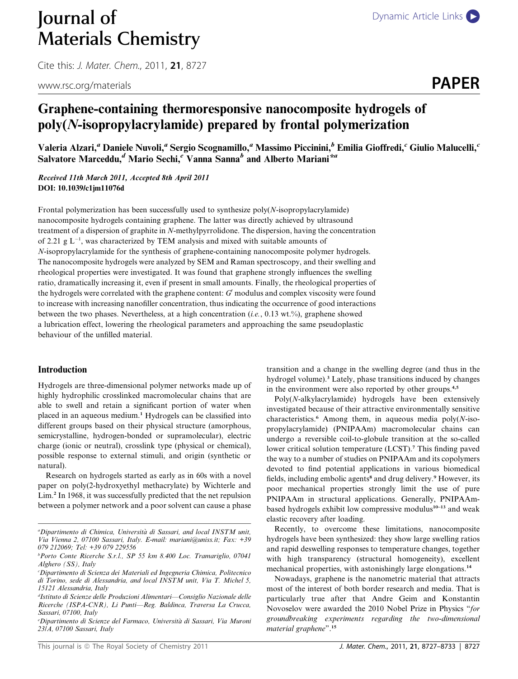# **Journal of** [Dynamic Article Links](http://dx.doi.org/10.1039/c1jm11076d) Materials Chemistry

Cite this: J. Mater. Chem., 2011, <sup>21</sup>, 8727

www.rsc.org/materials **PAPER** 

## Graphene-containing thermoresponsive nanocomposite hydrogels of poly(N-isopropylacrylamide) prepared by frontal polymerization

Valeria Alzari,<sup>a</sup> Daniele Nuvoli,<sup>a</sup> Sergio Scognamillo,<sup>a</sup> Massimo Piccinini,<sup>b</sup> Emilia Gioffredi,<sup>c</sup> Giulio Malucelli,<sup>c</sup> Salvatore Marceddu,<sup>d</sup> Mario Sechi,<sup>e</sup> Vanna Sanna<sup>b</sup> and Alberto Mariani<sup>\*a</sup>

Received 11th March 2011, Accepted 8th April 2011 DOI: 10.1039/c1jm11076d

Frontal polymerization has been successfully used to synthesize  $poly(N-$ isopropylacrylamide) nanocomposite hydrogels containing graphene. The latter was directly achieved by ultrasound treatment of a dispersion of graphite in N-methylpyrrolidone. The dispersion, having the concentration of 2.21  $g L^{-1}$ , was characterized by TEM analysis and mixed with suitable amounts of N-isopropylacrylamide for the synthesis of graphene-containing nanocomposite polymer hydrogels. The nanocomposite hydrogels were analyzed by SEM and Raman spectroscopy, and their swelling and rheological properties were investigated. It was found that graphene strongly influences the swelling ratio, dramatically increasing it, even if present in small amounts. Finally, the rheological properties of the hydrogels were correlated with the graphene content:  $G'$  modulus and complex viscosity were found to increase with increasing nanofiller concentration, thus indicating the occurrence of good interactions between the two phases. Nevertheless, at a high concentration (*i.e.*, 0.13 wt.%), graphene showed a lubrication effect, lowering the rheological parameters and approaching the same pseudoplastic behaviour of the unfilled material.

#### Introduction

Hydrogels are three-dimensional polymer networks made up of highly hydrophilic crosslinked macromolecular chains that are able to swell and retain a significant portion of water when placed in an aqueous medium.<sup>1</sup> Hydrogels can be classified into different groups based on their physical structure (amorphous, semicrystalline, hydrogen-bonded or supramolecular), electric charge (ionic or neutral), crosslink type (physical or chemical), possible response to external stimuli, and origin (synthetic or natural).

Research on hydrogels started as early as in 60s with a novel paper on poly(2-hydroxyethyl methacrylate) by Wichterle and Lim.<sup>2</sup> In 1968, it was successfully predicted that the net repulsion between a polymer network and a poor solvent can cause a phase

e Dipartimento di Scienze del Farmaco, Universita di Sassari, Via Muroni 23/A, 07100 Sassari, Italy

transition and a change in the swelling degree (and thus in the hydrogel volume).<sup>3</sup> Lately, phase transitions induced by changes in the environment were also reported by other groups.<sup>4,5</sup>

Poly(N-alkylacrylamide) hydrogels have been extensively investigated because of their attractive environmentally sensitive characteristics.<sup>6</sup> Among them, in aqueous media  $poly(N-iso$ propylacrylamide) (PNIPAAm) macromolecular chains can undergo a reversible coil-to-globule transition at the so-called lower critical solution temperature (LCST).<sup>7</sup> This finding paved the way to a number of studies on PNIPAAm and its copolymers devoted to find potential applications in various biomedical fields, including embolic agents<sup>8</sup> and drug delivery.<sup>9</sup> However, its poor mechanical properties strongly limit the use of pure PNIPAAm in structural applications. Generally, PNIPAAmbased hydrogels exhibit low compressive modulus<sup>10-13</sup> and weak elastic recovery after loading.

Recently, to overcome these limitations, nanocomposite hydrogels have been synthesized: they show large swelling ratios and rapid deswelling responses to temperature changes, together with high transparency (structural homogeneity), excellent mechanical properties, with astonishingly large elongations.<sup>14</sup>

Nowadays, graphene is the nanometric material that attracts most of the interest of both border research and media. That is particularly true after that Andre Geim and Konstantin Novoselov were awarded the 2010 Nobel Prize in Physics ''for groundbreaking experiments regarding the two-dimensional material graphene''.<sup>15</sup>

a Dipartimento di Chimica, Universita di Sassari, and local INSTM unit, Via Vienna 2, 07100 Sassari, Italy. E-mail: mariani@uniss.it; Fax: +39 079 212069; Tel: +39 079 229556

b Porto Conte Ricerche S.r.l., SP 55 km 8.400 Loc. Tramariglio, 07041 Alghero (SS), Italy

c Dipartimento di Scienza dei Materiali ed Ingegneria Chimica, Politecnico di Torino, sede di Alessandria, and local INSTM unit, Via T. Michel 5, 15121 Alessandria, Italy

d Istituto di Scienze delle Produzioni Alimentari—Consiglio Nazionale delle Ricerche (ISPA-CNR), Li Punti—Reg. Baldinca, Traversa La Crucca, Sassari, 07100, Italy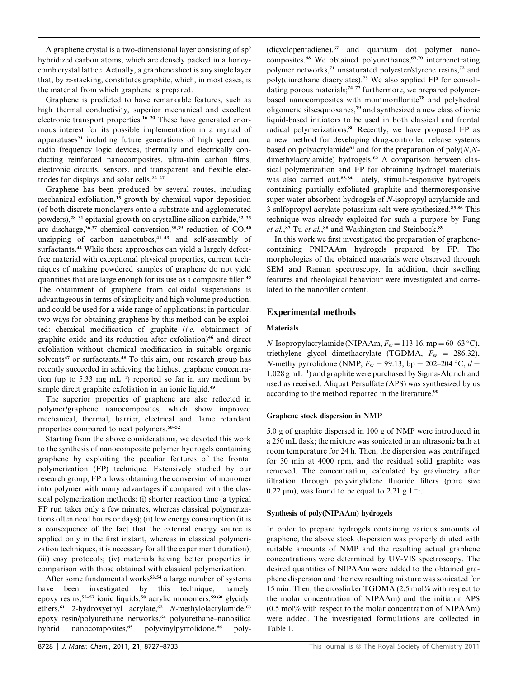A graphene crystal is a two-dimensional layer consisting of  $sp<sup>2</sup>$ hybridized carbon atoms, which are densely packed in a honeycomb crystal lattice. Actually, a graphene sheet is any single layer that, by  $\pi$ -stacking, constitutes graphite, which, in most cases, is the material from which graphene is prepared.

Graphene is predicted to have remarkable features, such as high thermal conductivity, superior mechanical and excellent electronic transport properties.<sup>16–20</sup> These have generated enormous interest for its possible implementation in a myriad of apparatuses<sup>21</sup> including future generations of high speed and radio frequency logic devices, thermally and electrically conducting reinforced nanocomposites, ultra-thin carbon films, electronic circuits, sensors, and transparent and flexible electrodes for displays and solar cells.<sup>22-27</sup>

Graphene has been produced by several routes, including mechanical exfoliation,<sup>15</sup> growth by chemical vapor deposition (of both discrete monolayers onto a substrate and agglomerated powders), $28-31$  epitaxial growth on crystalline silicon carbide, $32-35$ arc discharge,  $36,37$  chemical conversion,  $38,39$  reduction of CO,  $40$ unzipping of carbon nanotubes, $4^{1-43}$  and self-assembly of surfactants.<sup>44</sup> While these approaches can yield a largely defectfree material with exceptional physical properties, current techniques of making powdered samples of graphene do not yield quantities that are large enough for its use as a composite filler.<sup>45</sup> The obtainment of graphene from colloidal suspensions is advantageous in terms of simplicity and high volume production, and could be used for a wide range of applications; in particular, two ways for obtaining graphene by this method can be exploited: chemical modification of graphite (i.e. obtainment of graphite oxide and its reduction after exfoliation)<sup>46</sup> and direct exfoliation without chemical modification in suitable organic solvents<sup>47</sup> or surfactants.<sup>48</sup> To this aim, our research group has recently succeeded in achieving the highest graphene concentration (up to 5.33 mg  $mL^{-1}$ ) reported so far in any medium by simple direct graphite exfoliation in an ionic liquid.<sup>49</sup>

The superior properties of graphene are also reflected in polymer/graphene nanocomposites, which show improved mechanical, thermal, barrier, electrical and flame retardant properties compared to neat polymers.50–52

Starting from the above considerations, we devoted this work to the synthesis of nanocomposite polymer hydrogels containing graphene by exploiting the peculiar features of the frontal polymerization (FP) technique. Extensively studied by our research group, FP allows obtaining the conversion of monomer into polymer with many advantages if compared with the classical polymerization methods: (i) shorter reaction time (a typical FP run takes only a few minutes, whereas classical polymerizations often need hours or days); (ii) low energy consumption (it is a consequence of the fact that the external energy source is applied only in the first instant, whereas in classical polymerization techniques, it is necessary for all the experiment duration); (iii) easy protocols; (iv) materials having better properties in comparison with those obtained with classical polymerization.

After some fundamental works<sup>53,54</sup> a large number of systems have been investigated by this technique, namely: epoxy resins,<sup>55-57</sup> ionic liquids,<sup>58</sup> acrylic monomers,<sup>59,60</sup> glycidyl ethers,<sup>61</sup> 2-hydroxyethyl acrylate,<sup>62</sup> N-methylolacrylamide,<sup>63</sup> epoxy resin/polyurethane networks,<sup>64</sup> polyurethane-nanosilica hybrid nanocomposites,<sup>65</sup> polyvinylpyrrolidone,<sup>66</sup> poly-

(dicyclopentadiene),<sup>67</sup> and quantum dot polymer nanocomposites.<sup>68</sup> We obtained polyurethanes,<sup>69,70</sup> interpenetrating polymer networks,<sup>71</sup> unsaturated polyester/styrene resins,<sup>72</sup> and poly(diurethane diacrylates).<sup>73</sup> We also applied FP for consolidating porous materials;<sup>74–77</sup> furthermore, we prepared polymerbased nanocomposites with montmorillonite<sup>78</sup> and polyhedral oligomeric silsesquioxanes,<sup>79</sup> and synthesized a new class of ionic liquid-based initiators to be used in both classical and frontal radical polymerizations.<sup>80</sup> Recently, we have proposed FP as a new method for developing drug-controlled release systems based on polyacrylamide<sup>81</sup> and for the preparation of  $poly(N, N-1)$ dimethylacrylamide) hydrogels.<sup>82</sup> A comparison between classical polymerization and FP for obtaining hydrogel materials was also carried out.<sup>83,84</sup> Lately, stimuli-responsive hydrogels containing partially exfoliated graphite and thermoresponsive super water absorbent hydrogels of N-isopropyl acrylamide and 3-sulfopropyl acrylate potassium salt were synthesized.85,86 This technique was already exploited for such a purpose by Fang et al.,<sup>87</sup> Tu et al.,<sup>88</sup> and Washington and Steinbock.<sup>89</sup>

In this work we first investigated the preparation of graphenecontaining PNIPAAm hydrogels prepared by FP. The morphologies of the obtained materials were observed through SEM and Raman spectroscopy. In addition, their swelling features and rheological behaviour were investigated and correlated to the nanofiller content.

### Experimental methods

#### **Materials**

 $N$ -Isopropylacrylamide (NIPAAm,  $F_w$  = 113.16, mp = 60–63 °C), triethylene glycol dimethacrylate (TGDMA,  $F_w = 286.32$ ), N-methylpyrrolidone (NMP,  $F_w = 99.13$ , bp = 202–204 °C,  $d =$  $1.028$  g mL<sup>-1</sup>) and graphite were purchased by Sigma-Aldrich and used as received. Aliquat Persulfate (APS) was synthesized by us according to the method reported in the literature.<sup>90</sup>

#### Graphene stock dispersion in NMP

5.0 g of graphite dispersed in 100 g of NMP were introduced in a 250 mL flask; the mixture was sonicated in an ultrasonic bath at room temperature for 24 h. Then, the dispersion was centrifuged for 30 min at 4000 rpm, and the residual solid graphite was removed. The concentration, calculated by gravimetry after filtration through polyvinylidene fluoride filters (pore size 0.22  $\mu$ m), was found to be equal to 2.21 g L<sup>-1</sup>.

#### Synthesis of poly(NIPAAm) hydrogels

In order to prepare hydrogels containing various amounts of graphene, the above stock dispersion was properly diluted with suitable amounts of NMP and the resulting actual graphene concentrations were determined by UV-VIS spectroscopy. The desired quantities of NIPAAm were added to the obtained graphene dispersion and the new resulting mixture was sonicated for 15 min. Then, the crosslinker TGDMA (2.5 mol% with respect to the molar concentration of NIPAAm) and the initiator APS (0.5 mol% with respect to the molar concentration of NIPAAm) were added. The investigated formulations are collected in Table 1.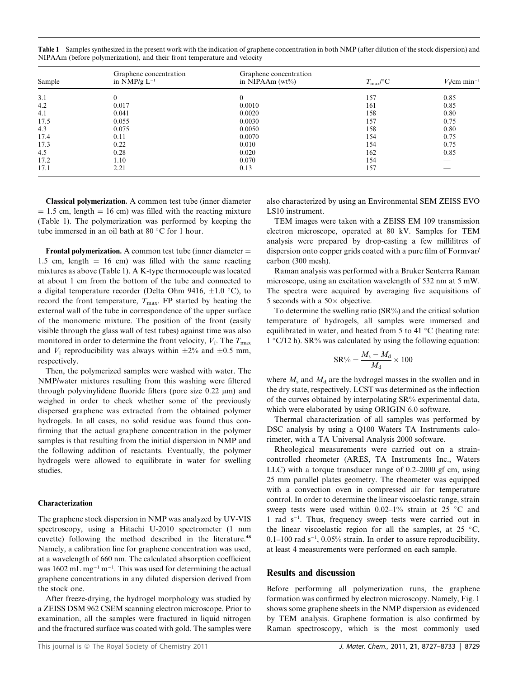| Sample | Graphene concentration<br>in $NMP/g L^{-1}$ | Graphene concentration<br>in NIPAAm $(wt\%)$ | $T_{\rm max}/\text{C}$ | $V_f$ /cm min <sup>-1</sup> |
|--------|---------------------------------------------|----------------------------------------------|------------------------|-----------------------------|
| 3.1    | $\theta$                                    | $\mathbf{0}$                                 | 157                    | 0.85                        |
| 4.2    | 0.017                                       | 0.0010                                       | 161                    | 0.85                        |
| 4.1    | 0.041                                       | 0.0020                                       | 158                    | 0.80                        |
| 17.5   | 0.055                                       | 0.0030                                       | 157                    | 0.75                        |
| 4.3    | 0.075                                       | 0.0050                                       | 158                    | 0.80                        |
| 17.4   | 0.11                                        | 0.0070                                       | 154                    | 0.75                        |
| 17.3   | 0.22                                        | 0.010                                        | 154                    | 0.75                        |
| 4.5    | 0.28                                        | 0.020                                        | 162                    | 0.85                        |
| 17.2   | 1.10                                        | 0.070                                        | 154                    |                             |
| 17.1   | 2.21                                        | 0.13                                         | 157                    |                             |

Table 1 Samples synthesized in the present work with the indication of graphene concentration in both NMP (after dilution of the stock dispersion) and NIPAAm (before polymerization), and their front temperature and velocity

Classical polymerization. A common test tube (inner diameter  $= 1.5$  cm, length  $= 16$  cm) was filled with the reacting mixture (Table 1). The polymerization was performed by keeping the tube immersed in an oil bath at  $80^{\circ}$ C for 1 hour.

**Frontal polymerization.** A common test tube (inner diameter  $=$ 1.5 cm, length  $= 16$  cm) was filled with the same reacting mixtures as above (Table 1). A K-type thermocouple was located at about 1 cm from the bottom of the tube and connected to a digital temperature recorder (Delta Ohm 9416,  $\pm 1.0$  °C), to record the front temperature,  $T_{\text{max}}$ . FP started by heating the external wall of the tube in correspondence of the upper surface of the monomeric mixture. The position of the front (easily visible through the glass wall of test tubes) against time was also monitored in order to determine the front velocity,  $V_f$ . The  $T_{\text{max}}$ and  $V_f$  reproducibility was always within  $\pm 2\%$  and  $\pm 0.5$  mm, respectively.

Then, the polymerized samples were washed with water. The NMP/water mixtures resulting from this washing were filtered through polyvinylidene fluoride filters (pore size  $0.22 \mu m$ ) and weighed in order to check whether some of the previously dispersed graphene was extracted from the obtained polymer hydrogels. In all cases, no solid residue was found thus confirming that the actual graphene concentration in the polymer samples is that resulting from the initial dispersion in NMP and the following addition of reactants. Eventually, the polymer hydrogels were allowed to equilibrate in water for swelling studies.

#### Characterization

The graphene stock dispersion in NMP was analyzed by UV-VIS spectroscopy, using a Hitachi U-2010 spectrometer (1 mm cuvette) following the method described in the literature.<sup>48</sup> Namely, a calibration line for graphene concentration was used, at a wavelength of 660 nm. The calculated absorption coefficient was  $1602 \text{ mL mg}^{-1} \text{ m}^{-1}$ . This was used for determining the actual graphene concentrations in any diluted dispersion derived from the stock one.

After freeze-drying, the hydrogel morphology was studied by a ZEISS DSM 962 CSEM scanning electron microscope. Prior to examination, all the samples were fractured in liquid nitrogen and the fractured surface was coated with gold. The samples were

This journal is © The Royal Society of Chemistry 2011 **Society** 2011 J. Mater. Chem., 2011, 21, 8727–8733 | 8729

also characterized by using an Environmental SEM ZEISS EVO LS10 instrument.

TEM images were taken with a ZEISS EM 109 transmission electron microscope, operated at 80 kV. Samples for TEM analysis were prepared by drop-casting a few millilitres of dispersion onto copper grids coated with a pure film of Formvar/ carbon (300 mesh).

Raman analysis was performed with a Bruker Senterra Raman microscope, using an excitation wavelength of 532 nm at 5 mW. The spectra were acquired by averaging five acquisitions of 5 seconds with a  $50 \times$  objective.

To determine the swelling ratio (SR%) and the critical solution temperature of hydrogels, all samples were immersed and equilibrated in water, and heated from 5 to 41  $\degree$ C (heating rate:  $1 \degree$ C/12 h). SR% was calculated by using the following equation:

$$
\text{SR}\% = \frac{M_\text{s}-M_\text{d}}{M_\text{d}} \times 100
$$

where  $M_s$  and  $M_d$  are the hydrogel masses in the swollen and in the dry state, respectively. LCST was determined as the inflection of the curves obtained by interpolating SR% experimental data, which were elaborated by using ORIGIN 6.0 software.

Thermal characterization of all samples was performed by DSC analysis by using a Q100 Waters TA Instruments calorimeter, with a TA Universal Analysis 2000 software.

Rheological measurements were carried out on a straincontrolled rheometer (ARES, TA Instruments Inc., Waters LLC) with a torque transducer range of 0.2–2000 gf cm, using 25 mm parallel plates geometry. The rheometer was equipped with a convection oven in compressed air for temperature control. In order to determine the linear viscoelastic range, strain sweep tests were used within  $0.02-1\%$  strain at 25 °C and 1 rad s<sup>-1</sup>. Thus, frequency sweep tests were carried out in the linear viscoelastic region for all the samples, at  $25 \text{ °C}$ ,  $0.1-100$  rad s<sup>-1</sup>,  $0.05\%$  strain. In order to assure reproducibility, at least 4 measurements were performed on each sample.

#### Results and discussion

Before performing all polymerization runs, the graphene formation was confirmed by electron microscopy. Namely, Fig. 1 shows some graphene sheets in the NMP dispersion as evidenced by TEM analysis. Graphene formation is also confirmed by Raman spectroscopy, which is the most commonly used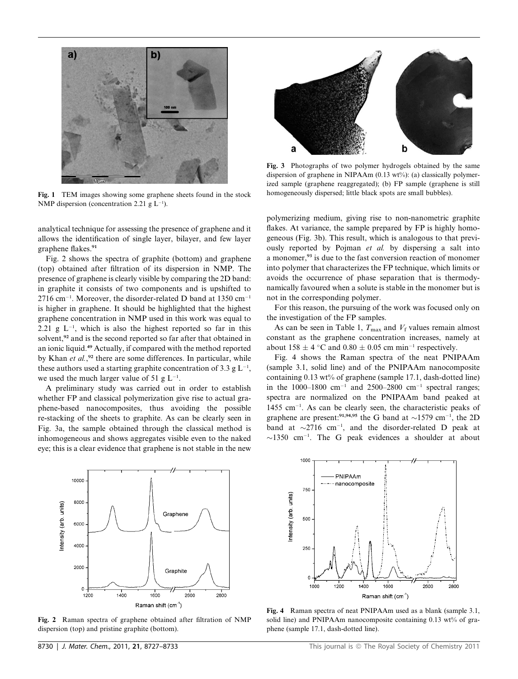

Fig. 1 TEM images showing some graphene sheets found in the stock NMP dispersion (concentration 2.21  $g L^{-1}$ ).

analytical technique for assessing the presence of graphene and it allows the identification of single layer, bilayer, and few layer graphene flakes.<sup>91</sup>

Fig. 2 shows the spectra of graphite (bottom) and graphene (top) obtained after filtration of its dispersion in NMP. The presence of graphene is clearly visible by comparing the 2D band: in graphite it consists of two components and is upshifted to  $2716$  cm<sup>-1</sup>. Moreover, the disorder-related D band at 1350 cm<sup>-1</sup> is higher in graphene. It should be highlighted that the highest graphene concentration in NMP used in this work was equal to 2.21 g  $L^{-1}$ , which is also the highest reported so far in this solvent,<sup>92</sup> and is the second reported so far after that obtained in an ionic liquid.<sup>49</sup> Actually, if compared with the method reported by Khan et al.,<sup>92</sup> there are some differences. In particular, while these authors used a starting graphite concentration of 3.3 g  $L^{-1}$ , we used the much larger value of 51 g  $L^{-1}$ .

A preliminary study was carried out in order to establish whether FP and classical polymerization give rise to actual graphene-based nanocomposites, thus avoiding the possible re-stacking of the sheets to graphite. As can be clearly seen in Fig. 3a, the sample obtained through the classical method is inhomogeneous and shows aggregates visible even to the naked eye; this is a clear evidence that graphene is not stable in the new



Fig. 2 Raman spectra of graphene obtained after filtration of NMP dispersion (top) and pristine graphite (bottom).



Fig. 3 Photographs of two polymer hydrogels obtained by the same dispersion of graphene in NIPAAm  $(0.13 \text{ wt\%})$ : (a) classically polymerized sample (graphene reaggregated); (b) FP sample (graphene is still homogeneously dispersed; little black spots are small bubbles).

polymerizing medium, giving rise to non-nanometric graphite flakes. At variance, the sample prepared by FP is highly homogeneous (Fig. 3b). This result, which is analogous to that previously reported by Pojman et al. by dispersing a salt into a monomer,<sup>93</sup> is due to the fast conversion reaction of monomer into polymer that characterizes the FP technique, which limits or avoids the occurrence of phase separation that is thermodynamically favoured when a solute is stable in the monomer but is not in the corresponding polymer.

For this reason, the pursuing of the work was focused only on the investigation of the FP samples.

As can be seen in Table 1,  $T_{\text{max}}$  and  $V_f$  values remain almost constant as the graphene concentration increases, namely at about 158  $\pm$  4 °C and 0.80  $\pm$  0.05 cm min<sup>-1</sup> respectively.

Fig. 4 shows the Raman spectra of the neat PNIPAAm (sample 3.1, solid line) and of the PNIPAAm nanocomposite containing 0.13 wt% of graphene (sample 17.1, dash-dotted line) in the 1000–1800 cm<sup>-1</sup> and 2500–2800 cm<sup>-1</sup> spectral ranges; spectra are normalized on the PNIPAAm band peaked at  $1455$  cm<sup>-1</sup>. As can be clearly seen, the characteristic peaks of graphene are present:<sup>91,94,95</sup> the G band at  $\sim$ 1579 cm<sup>-1</sup>, the 2D band at  $\sim$ 2716 cm<sup>-1</sup>, and the disorder-related D peak at  $\sim$ 1350 cm<sup>-1</sup>. The G peak evidences a shoulder at about



Fig. 4 Raman spectra of neat PNIPAAm used as a blank (sample 3.1, solid line) and PNIPAAm nanocomposite containing 0.13 wt% of graphene (sample 17.1, dash-dotted line).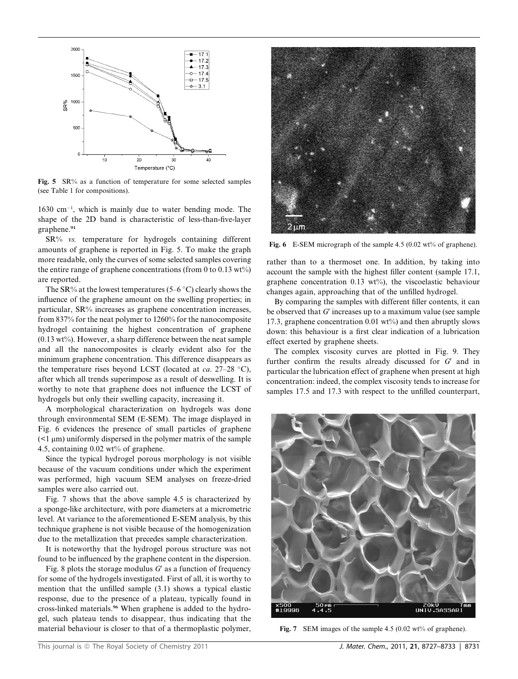

Fig. 5 SR% as a function of temperature for some selected samples (see Table 1 for compositions).

 $1630 \text{ cm}^{-1}$ , which is mainly due to water bending mode. The shape of the 2D band is characteristic of less-than-five-layer graphene.<sup>91</sup>

SR% vs. temperature for hydrogels containing different amounts of graphene is reported in Fig. 5. To make the graph more readable, only the curves of some selected samples covering the entire range of graphene concentrations (from 0 to 0.13 wt%) are reported.

The SR% at the lowest temperatures (5–6  $\degree$ C) clearly shows the influence of the graphene amount on the swelling properties; in particular, SR% increases as graphene concentration increases, from 837% for the neat polymer to 1260% for the nanocomposite hydrogel containing the highest concentration of graphene  $(0.13 \text{ wt\%})$ . However, a sharp difference between the neat sample and all the nanocomposites is clearly evident also for the minimum graphene concentration. This difference disappears as the temperature rises beyond LCST (located at  $ca. 27-28$  °C), after which all trends superimpose as a result of deswelling. It is worthy to note that graphene does not influence the LCST of hydrogels but only their swelling capacity, increasing it.

A morphological characterization on hydrogels was done through environmental SEM (E-SEM). The image displayed in Fig. 6 evidences the presence of small particles of graphene  $\leq$ 1  $\mu$ m) uniformly dispersed in the polymer matrix of the sample 4.5, containing 0.02 wt% of graphene.

Since the typical hydrogel porous morphology is not visible because of the vacuum conditions under which the experiment was performed, high vacuum SEM analyses on freeze-dried samples were also carried out.

Fig. 7 shows that the above sample 4.5 is characterized by a sponge-like architecture, with pore diameters at a micrometric level. At variance to the aforementioned E-SEM analysis, by this technique graphene is not visible because of the homogenization due to the metallization that precedes sample characterization.

It is noteworthy that the hydrogel porous structure was not found to be influenced by the graphene content in the dispersion.

Fig. 8 plots the storage modulus  $G'$  as a function of frequency for some of the hydrogels investigated. First of all, it is worthy to mention that the unfilled sample (3.1) shows a typical elastic response, due to the presence of a plateau, typically found in cross-linked materials.<sup>96</sup> When graphene is added to the hydrogel, such plateau tends to disappear, thus indicating that the material behaviour is closer to that of a thermoplastic polymer,



Fig. 6 E-SEM micrograph of the sample 4.5 (0.02 wt% of graphene).

rather than to a thermoset one. In addition, by taking into account the sample with the highest filler content (sample 17.1, graphene concentration  $0.13 \text{ wt\%}$ , the viscoelastic behaviour changes again, approaching that of the unfilled hydrogel.

By comparing the samples with different filler contents, it can be observed that  $G'$  increases up to a maximum value (see sample 17.3, graphene concentration 0.01 wt%) and then abruptly slows down: this behaviour is a first clear indication of a lubrication effect exerted by graphene sheets.

The complex viscosity curves are plotted in Fig. 9. They further confirm the results already discussed for  $G'$  and in particular the lubrication effect of graphene when present at high concentration: indeed, the complex viscosity tends to increase for samples 17.5 and 17.3 with respect to the unfilled counterpart,



Fig. 7 SEM images of the sample 4.5 (0.02 wt% of graphene).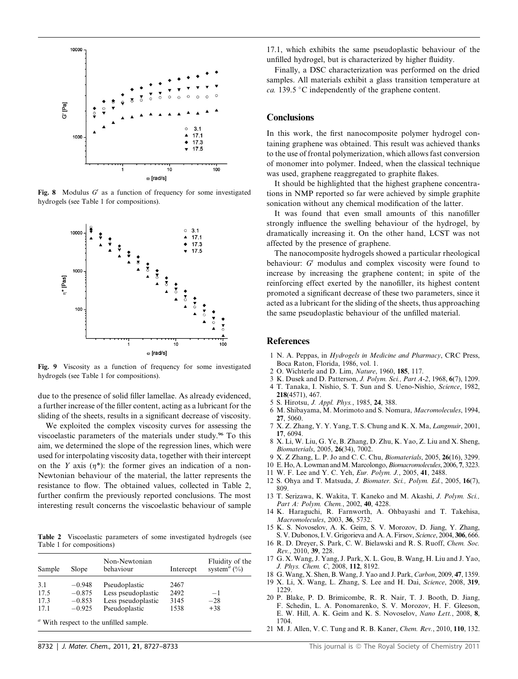

Fig. 8 Modulus  $G'$  as a function of frequency for some investigated hydrogels (see Table 1 for compositions).



Fig. 9 Viscosity as a function of frequency for some investigated hydrogels (see Table 1 for compositions).

due to the presence of solid filler lamellae. As already evidenced, a further increase of the filler content, acting as a lubricant for the sliding of the sheets, results in a significant decrease of viscosity.

We exploited the complex viscosity curves for assessing the viscoelastic parameters of the materials under study.<sup>96</sup> To this aim, we determined the slope of the regression lines, which were used for interpolating viscosity data, together with their intercept on the Y axis  $(\eta^*)$ : the former gives an indication of a non-Newtonian behaviour of the material, the latter represents the resistance to flow. The obtained values, collected in Table 2, further confirm the previously reported conclusions. The most interesting result concerns the viscoelastic behaviour of sample

Table 2 Viscoelastic parameters of some investigated hydrogels (see Table 1 for compositions)

| Sample | Slope    | Non-Newtonian<br>behaviour | Intercept | Fluidity of the<br>system <sup><math>a</math></sup> (%) |
|--------|----------|----------------------------|-----------|---------------------------------------------------------|
| 3.1    | $-0.948$ | Pseudoplastic              | 2467      |                                                         |
| 17.5   | $-0.875$ | Less pseudoplastic         | 2492      | $-1$                                                    |
| 17.3   | $-0.853$ | Less pseudoplastic         | 3145      | $-28$                                                   |
| 17.1   | $-0.925$ | Pseudoplastic              | 1538      | $+38$                                                   |
|        |          |                            |           |                                                         |

<sup>*a*</sup> With respect to the unfilled sample.

17.1, which exhibits the same pseudoplastic behaviour of the unfilled hydrogel, but is characterized by higher fluidity.

Finally, a DSC characterization was performed on the dried samples. All materials exhibit a glass transition temperature at ca. 139.5 °C independently of the graphene content.

#### **Conclusions**

In this work, the first nanocomposite polymer hydrogel containing graphene was obtained. This result was achieved thanks to the use of frontal polymerization, which allows fast conversion of monomer into polymer. Indeed, when the classical technique was used, graphene reaggregated to graphite flakes.

It should be highlighted that the highest graphene concentrations in NMP reported so far were achieved by simple graphite sonication without any chemical modification of the latter.

It was found that even small amounts of this nanofiller strongly influence the swelling behaviour of the hydrogel, by dramatically increasing it. On the other hand, LCST was not affected by the presence of graphene.

The nanocomposite hydrogels showed a particular rheological behaviour:  $G'$  modulus and complex viscosity were found to increase by increasing the graphene content; in spite of the reinforcing effect exerted by the nanofiller, its highest content promoted a significant decrease of these two parameters, since it acted as a lubricant for the sliding of the sheets, thus approaching the same pseudoplastic behaviour of the unfilled material.

#### **References**

- 1 N. A. Peppas, in Hydrogels in Medicine and Pharmacy, CRC Press, Boca Raton, Florida, 1986, vol. 1.
- 2 O. Wichterle and D. Lim, Nature, 1960, 185, 117.
- 3 K. Dusek and D. Patterson, J. Polym. Sci., Part A-2, 1968, 6(7), 1209. 4 T. Tanaka, I. Nishio, S. T. Sun and S. Ueno-Nishio, Science, 1982,
	- 218(4571), 467.
- 5 S. Hirotsu, J. Appl. Phys., 1985, 24, 388.
- 6 M. Shibayama, M. Morimoto and S. Nomura, Macromolecules, 1994, 27, 5060.
- 7 X. Z. Zhang, Y. Y. Yang, T. S. Chung and K. X. Ma, Langmuir, 2001, 17, 6094.
- 8 X. Li, W. Liu, G. Ye, B. Zhang, D. Zhu, K. Yao, Z. Liu and X. Sheng, Biomaterials, 2005, 26(34), 7002.
- 9 X. Z Zhang, L. P. Jo and C. C. Chu, Biomaterials, 2005, 26(16), 3299.
- 10 E. Ho, A. Lowman and M. Marcolongo, Biomacromolecules, 2006, 7, 3223.
- 11 W. F. Lee and Y. C. Yeh, Eur. Polym. J., 2005, 41, 2488.
- 12 S. Ohya and T. Matsuda, J. Biomater. Sci., Polym. Ed., 2005, 16(7), 809.
- 13 T. Serizawa, K. Wakita, T. Kaneko and M. Akashi, J. Polym. Sci., Part A: Polym. Chem., 2002, 40, 4228.
- 14 K. Haraguchi, R. Farnworth, A. Ohbayashi and T. Takehisa, Macromolecules, 2003, 36, 5732.
- 15 K. S. Novoselov, A. K. Geim, S. V. Morozov, D. Jiang, Y. Zhang, S. V. Dubonos, I. V. Grigorieva and A. A. Firsov, Science, 2004, 306, 666.
- 16 R. D. Dreyer, S. Park, C. W. Bielawski and R. S. Ruoff, Chem. Soc. Rev., 2010, 39, 228.
- 17 G. X. Wang, J. Yang, J. Park, X. L. Gou, B. Wang, H. Liu and J. Yao, J. Phys. Chem. C, 2008, 112, 8192.
- 18 G. Wang, X. Shen, B. Wang, J. Yao and J. Park, Carbon, 2009, 47, 1359.
- 19 X. Li, X. Wang, L. Zhang, S. Lee and H. Dai, Science, 2008, 319, 1229.
- 20 P. Blake, P. D. Brimicombe, R. R. Nair, T. J. Booth, D. Jiang, F. Schedin, L. A. Ponomarenko, S. V. Morozov, H. F. Gleeson, E. W. Hill, A. K. Geim and K. S. Novoselov, Nano Lett., 2008, 8, 1704.
- 21 M. J. Allen, V. C. Tung and R. B. Kaner, Chem. Rev., 2010, 110, 132.